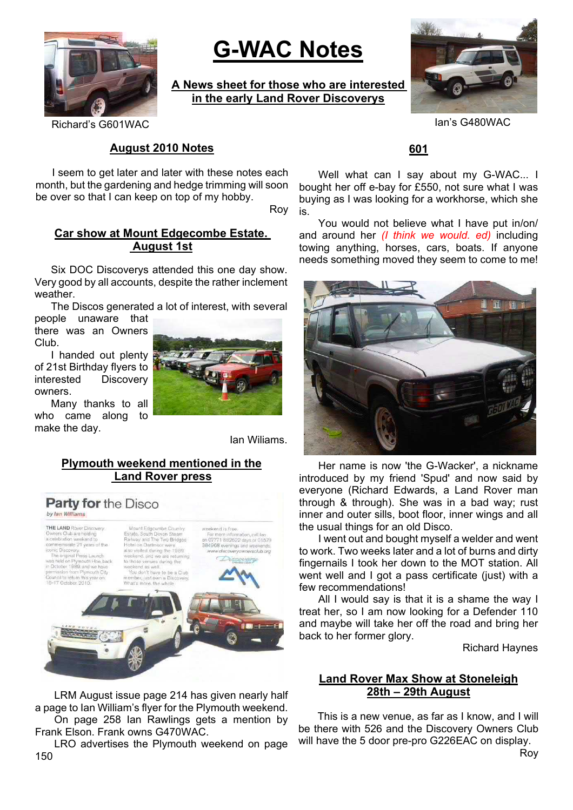

# **G-WAC Notes**

**A News sheet for those who are interested in the early Land Rover Discoverys**



Richard's G601WAC Ian's G480WAC

## **August 2010 Notes**

I seem to get later and later with these notes each month, but the gardening and hedge trimming will soon be over so that I can keep on top of my hobby.

Roy

## **Car show at Mount Edgecombe Estate. August 1st**

Six DOC Discoverys attended this one day show. Very good by all accounts, despite the rather inclement weather.

The Discos generated a lot of interest, with several

people unaware that there was an Owners Club.

I handed out plenty of 21st Birthday flyers to interested Discovery owners.

Many thanks to all who came along to make the day.



Ian Wiliams.

## **Plymouth weekend mentioned in the Land Rover press**



LRM August issue page 214 has given nearly half a page to Ian William's flyer for the Plymouth weekend. On page 258 Ian Rawlings gets a mention by Frank Elson. Frank owns G470WAC.

LRO advertises the Plymouth weekend on page 150

## **601**

Well what can I say about my G-WAC... I bought her off e-bay for £550, not sure what I was buying as I was looking for a workhorse, which she is.

You would not believe what I have put in/on/ and around her *(I think we would. ed)* including towing anything, horses, cars, boats. If anyone needs something moved they seem to come to me!



Her name is now 'the G-Wacker', a nickname introduced by my friend 'Spud' and now said by everyone (Richard Edwards, a Land Rover man through & through). She was in a bad way; rust inner and outer sills, boot floor, inner wings and all the usual things for an old Disco.

I went out and bought myself a welder and went to work. Two weeks later and a lot of burns and dirty fingernails I took her down to the MOT station. All went well and I got a pass certificate (just) with a few recommendations!

All I would say is that it is a shame the way I treat her, so I am now looking for a Defender 110 and maybe will take her off the road and bring her back to her former glory.

Richard Haynes

# **Land Rover Max Show at Stoneleigh 28th – 29th August**

This is a new venue, as far as I know, and I will be there with 526 and the Discovery Owners Club will have the 5 door pre-pro G226EAC on display. Roy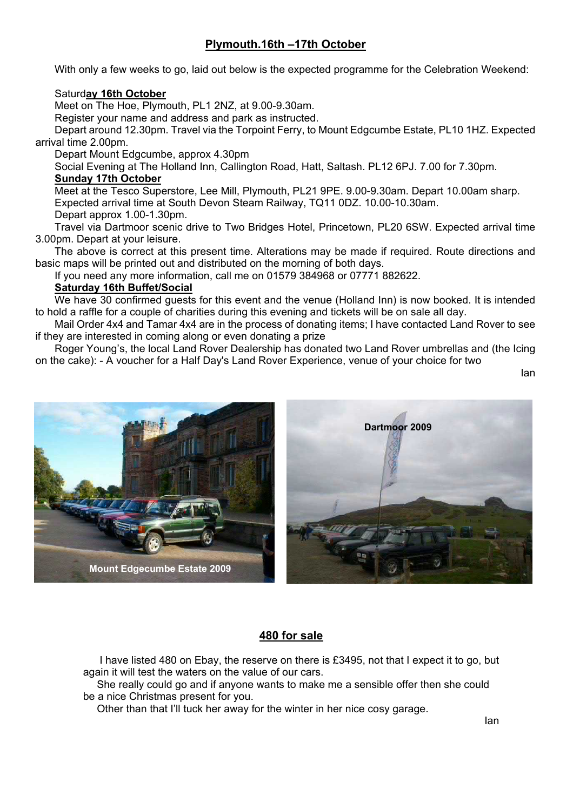# **Plymouth.16th –17th October**

With only a few weeks to go, laid out below is the expected programme for the Celebration Weekend:

#### Saturd**ay 16th October**

Meet on The Hoe, Plymouth, PL1 2NZ, at 9.00-9.30am.

Register your name and address and park as instructed.

Depart around 12.30pm. Travel via the Torpoint Ferry, to Mount Edgcumbe Estate, PL10 1HZ. Expected arrival time 2.00pm.

Depart Mount Edgcumbe, approx 4.30pm

Social Evening at The Holland Inn, Callington Road, Hatt, Saltash. PL12 6PJ. 7.00 for 7.30pm. **Sunday 17th October**

Meet at the Tesco Superstore, Lee Mill, Plymouth, PL21 9PE. 9.00-9.30am. Depart 10.00am sharp. Expected arrival time at South Devon Steam Railway, TQ11 0DZ. 10.00-10.30am. Depart approx 1.00-1.30pm.

Travel via Dartmoor scenic drive to Two Bridges Hotel, Princetown, PL20 6SW. Expected arrival time 3.00pm. Depart at your leisure.

The above is correct at this present time. Alterations may be made if required. Route directions and basic maps will be printed out and distributed on the morning of both days.

If you need any more information, call me on 01579 384968 or 07771 882622.

#### **Saturday 16th Buffet/Social**

We have 30 confirmed guests for this event and the venue (Holland Inn) is now booked. It is intended to hold a raffle for a couple of charities during this evening and tickets will be on sale all day.

Mail Order 4x4 and Tamar 4x4 are in the process of donating items; I have contacted Land Rover to see if they are interested in coming along or even donating a prize

Roger Young's, the local Land Rover Dealership has donated two Land Rover umbrellas and (the Icing on the cake): - A voucher for a Half Day's Land Rover Experience, venue of your choice for two

Ian



#### **480 for sale**

I have listed 480 on Ebay, the reserve on there is £3495, not that I expect it to go, but again it will test the waters on the value of our cars.

She really could go and if anyone wants to make me a sensible offer then she could be a nice Christmas present for you.

Other than that I'll tuck her away for the winter in her nice cosy garage.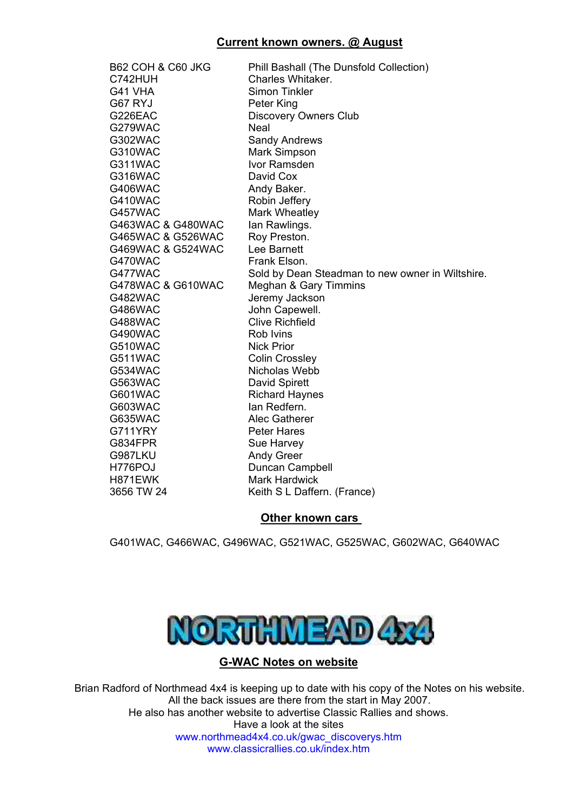| B62 COH & C60 JKG | Phill Bashall (The Dunsfold Collection)          |
|-------------------|--------------------------------------------------|
| C742HUH           | Charles Whitaker.                                |
| G41 VHA           | <b>Simon Tinkler</b>                             |
| G67 RYJ           | Peter King                                       |
| G226EAC           | <b>Discovery Owners Club</b>                     |
| G279WAC           | Neal                                             |
| G302WAC           | <b>Sandy Andrews</b>                             |
| G310WAC           | Mark Simpson                                     |
| G311WAC           | Ivor Ramsden                                     |
| G316WAC           | David Cox                                        |
| G406WAC           | Andy Baker.                                      |
| G410WAC           | Robin Jeffery                                    |
| G457WAC           | Mark Wheatley                                    |
| G463WAC & G480WAC | lan Rawlings.                                    |
| G465WAC & G526WAC | Roy Preston.                                     |
| G469WAC & G524WAC | Lee Barnett                                      |
| G470WAC           | Frank Elson.                                     |
| G477WAC           | Sold by Dean Steadman to new owner in Wiltshire. |
| G478WAC & G610WAC | Meghan & Gary Timmins                            |
| G482WAC           | Jeremy Jackson                                   |
| G486WAC           | John Capewell.                                   |
| G488WAC           | <b>Clive Richfield</b>                           |
| G490WAC           | Rob Ivins                                        |
| G510WAC           | <b>Nick Prior</b>                                |
| G511WAC           | <b>Colin Crossley</b>                            |
| G534WAC           | Nicholas Webb                                    |
| G563WAC           | David Spirett                                    |
| G601WAC           | <b>Richard Haynes</b>                            |
| G603WAC           | lan Redfern.                                     |
| G635WAC           | Alec Gatherer                                    |
| G711YRY           | <b>Peter Hares</b>                               |
| G834FPR           | Sue Harvey                                       |
| G987LKU           | <b>Andy Greer</b>                                |
| H776POJ           | Duncan Campbell                                  |
| H871EWK           | <b>Mark Hardwick</b>                             |
| 3656 TW 24        | Keith S L Daffern. (France)                      |

# **Other known cars**

G401WAC, G466WAC, G496WAC, G521WAC, G525WAC, G602WAC, G640WAC



# **G-WAC Notes on website**

Brian Radford of Northmead 4x4 is keeping up to date with his copy of the Notes on his website. All the back issues are there from the start in May 2007. He also has another website to advertise Classic Rallies and shows.

Have a look at the sites www.northmead4x4.co.uk/gwac\_discoverys.htm www.classicrallies.co.uk/index.htm